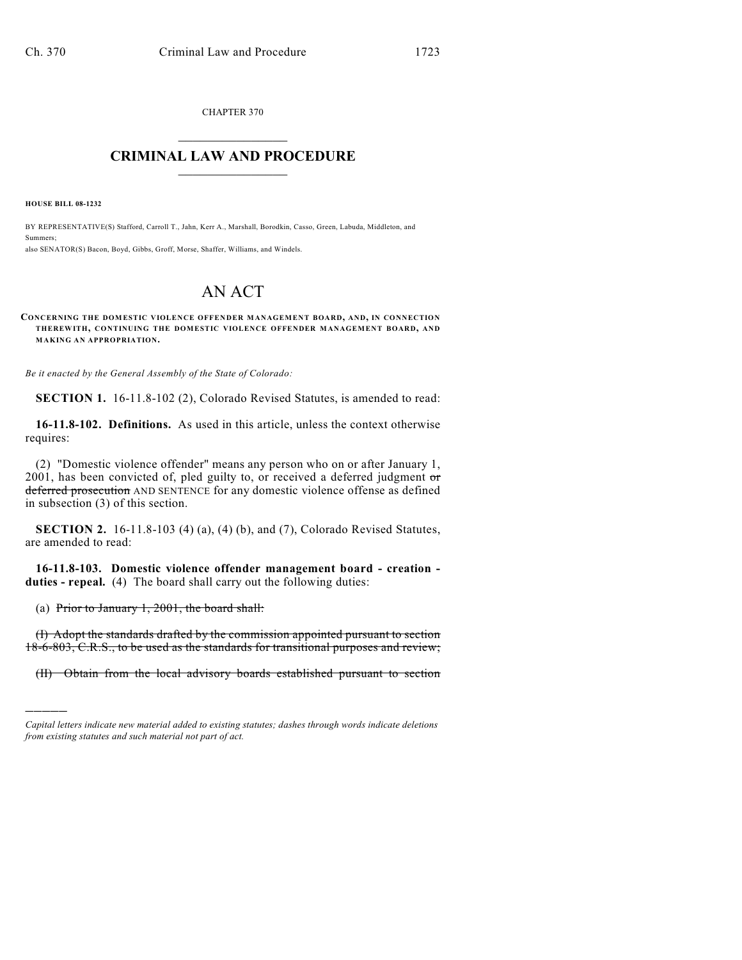CHAPTER 370  $\mathcal{L}_\text{max}$  . The set of the set of the set of the set of the set of the set of the set of the set of the set of the set of the set of the set of the set of the set of the set of the set of the set of the set of the set

## **CRIMINAL LAW AND PROCEDURE**  $\frac{1}{2}$  ,  $\frac{1}{2}$  ,  $\frac{1}{2}$  ,  $\frac{1}{2}$  ,  $\frac{1}{2}$  ,  $\frac{1}{2}$  ,  $\frac{1}{2}$

**HOUSE BILL 08-1232**

)))))

BY REPRESENTATIVE(S) Stafford, Carroll T., Jahn, Kerr A., Marshall, Borodkin, Casso, Green, Labuda, Middleton, and Summers; also SENATOR(S) Bacon, Boyd, Gibbs, Groff, Morse, Shaffer, Williams, and Windels.

## AN ACT

## **CONCERNING THE DOMESTIC VIOLENCE OFFENDER M ANAGEMENT BOARD, AND, IN CONNECTION THEREWITH, CONTINUING THE DOMESTIC VIOLENCE OFFENDER MANAGEMENT BOARD, AND MAKING AN APPROPRIATION.**

*Be it enacted by the General Assembly of the State of Colorado:*

**SECTION 1.** 16-11.8-102 (2), Colorado Revised Statutes, is amended to read:

**16-11.8-102. Definitions.** As used in this article, unless the context otherwise requires:

(2) "Domestic violence offender" means any person who on or after January 1, 2001, has been convicted of, pled guilty to, or received a deferred judgment  $\sigma$ deferred prosecution AND SENTENCE for any domestic violence offense as defined in subsection (3) of this section.

**SECTION 2.** 16-11.8-103 (4) (a), (4) (b), and (7), Colorado Revised Statutes, are amended to read:

**16-11.8-103. Domestic violence offender management board - creation duties - repeal.** (4) The board shall carry out the following duties:

(a) Prior to January 1, 2001, the board shall:

(I) Adopt the standards drafted by the commission appointed pursuant to section 18-6-803, C.R.S., to be used as the standards for transitional purposes and review;

(II) Obtain from the local advisory boards established pursuant to section

*Capital letters indicate new material added to existing statutes; dashes through words indicate deletions from existing statutes and such material not part of act.*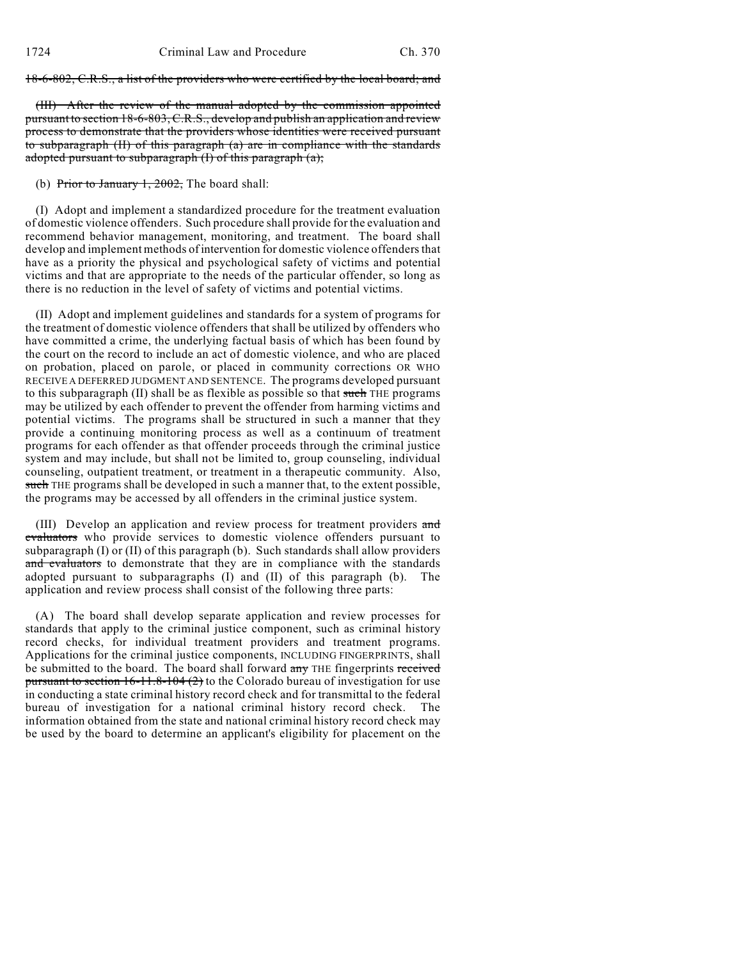18-6-802, C.R.S., a list of the providers who were certified by the local board; and

(III) After the review of the manual adopted by the commission appointed pursuant to section 18-6-803, C.R.S., develop and publish an application and review process to demonstrate that the providers whose identities were received pursuant to subparagraph (II) of this paragraph (a) are in compliance with the standards adopted pursuant to subparagraph (I) of this paragraph (a);

(b) Prior to January  $1, 2002$ , The board shall:

(I) Adopt and implement a standardized procedure for the treatment evaluation of domestic violence offenders. Such procedure shall provide for the evaluation and recommend behavior management, monitoring, and treatment. The board shall develop and implement methods of intervention for domestic violence offenders that have as a priority the physical and psychological safety of victims and potential victims and that are appropriate to the needs of the particular offender, so long as there is no reduction in the level of safety of victims and potential victims.

(II) Adopt and implement guidelines and standards for a system of programs for the treatment of domestic violence offenders that shall be utilized by offenders who have committed a crime, the underlying factual basis of which has been found by the court on the record to include an act of domestic violence, and who are placed on probation, placed on parole, or placed in community corrections OR WHO RECEIVE A DEFERRED JUDGMENT AND SENTENCE. The programs developed pursuant to this subparagraph (II) shall be as flexible as possible so that such THE programs may be utilized by each offender to prevent the offender from harming victims and potential victims. The programs shall be structured in such a manner that they provide a continuing monitoring process as well as a continuum of treatment programs for each offender as that offender proceeds through the criminal justice system and may include, but shall not be limited to, group counseling, individual counseling, outpatient treatment, or treatment in a therapeutic community. Also, such THE programs shall be developed in such a manner that, to the extent possible, the programs may be accessed by all offenders in the criminal justice system.

(III) Develop an application and review process for treatment providers and evaluators who provide services to domestic violence offenders pursuant to subparagraph  $(I)$  or  $(II)$  of this paragraph  $(b)$ . Such standards shall allow providers and evaluators to demonstrate that they are in compliance with the standards adopted pursuant to subparagraphs (I) and (II) of this paragraph (b). The application and review process shall consist of the following three parts:

(A) The board shall develop separate application and review processes for standards that apply to the criminal justice component, such as criminal history record checks, for individual treatment providers and treatment programs. Applications for the criminal justice components, INCLUDING FINGERPRINTS, shall be submitted to the board. The board shall forward any THE fingerprints received pursuant to section  $16-11.8-104(2)$  to the Colorado bureau of investigation for use in conducting a state criminal history record check and for transmittal to the federal bureau of investigation for a national criminal history record check. The information obtained from the state and national criminal history record check may be used by the board to determine an applicant's eligibility for placement on the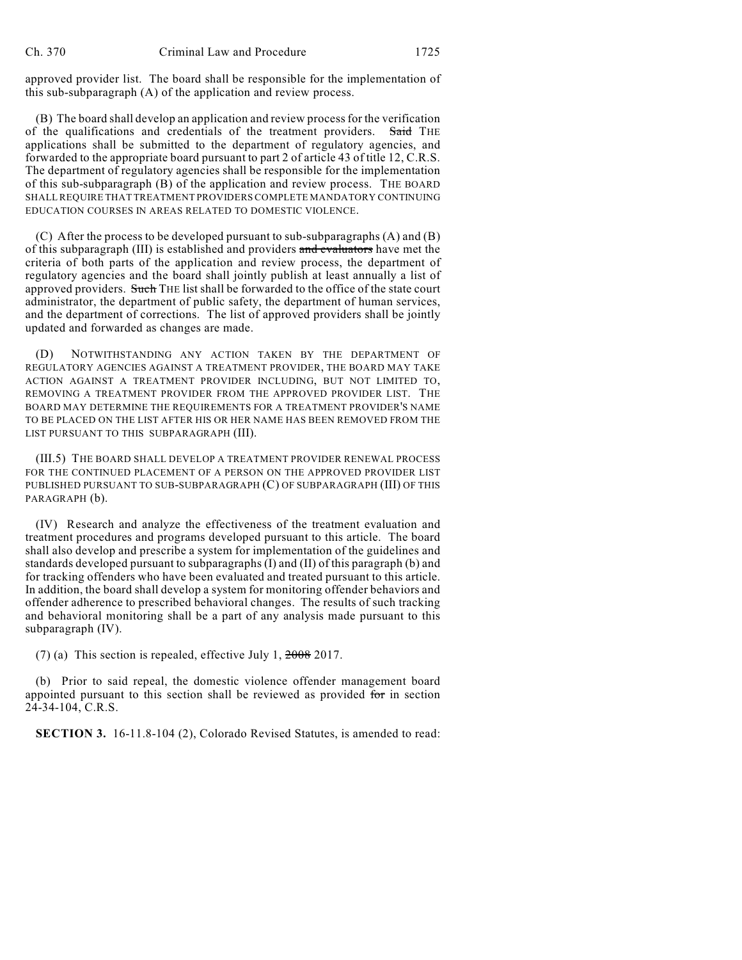approved provider list. The board shall be responsible for the implementation of this sub-subparagraph (A) of the application and review process.

(B) The board shall develop an application and review process for the verification of the qualifications and credentials of the treatment providers. Said THE applications shall be submitted to the department of regulatory agencies, and forwarded to the appropriate board pursuant to part 2 of article 43 of title 12, C.R.S. The department of regulatory agencies shall be responsible for the implementation of this sub-subparagraph (B) of the application and review process. THE BOARD SHALL REQUIRE THAT TREATMENT PROVIDERS COMPLETE MANDATORY CONTINUING EDUCATION COURSES IN AREAS RELATED TO DOMESTIC VIOLENCE.

(C) After the process to be developed pursuant to sub-subparagraphs (A) and (B) of this subparagraph (III) is established and providers and evaluators have met the criteria of both parts of the application and review process, the department of regulatory agencies and the board shall jointly publish at least annually a list of approved providers. Such THE list shall be forwarded to the office of the state court administrator, the department of public safety, the department of human services, and the department of corrections. The list of approved providers shall be jointly updated and forwarded as changes are made.

NOTWITHSTANDING ANY ACTION TAKEN BY THE DEPARTMENT OF REGULATORY AGENCIES AGAINST A TREATMENT PROVIDER, THE BOARD MAY TAKE ACTION AGAINST A TREATMENT PROVIDER INCLUDING, BUT NOT LIMITED TO, REMOVING A TREATMENT PROVIDER FROM THE APPROVED PROVIDER LIST. THE BOARD MAY DETERMINE THE REQUIREMENTS FOR A TREATMENT PROVIDER'S NAME TO BE PLACED ON THE LIST AFTER HIS OR HER NAME HAS BEEN REMOVED FROM THE LIST PURSUANT TO THIS SUBPARAGRAPH (III).

(III.5) THE BOARD SHALL DEVELOP A TREATMENT PROVIDER RENEWAL PROCESS FOR THE CONTINUED PLACEMENT OF A PERSON ON THE APPROVED PROVIDER LIST PUBLISHED PURSUANT TO SUB-SUBPARAGRAPH (C) OF SUBPARAGRAPH (III) OF THIS PARAGRAPH (b).

(IV) Research and analyze the effectiveness of the treatment evaluation and treatment procedures and programs developed pursuant to this article. The board shall also develop and prescribe a system for implementation of the guidelines and standards developed pursuant to subparagraphs (I) and (II) of this paragraph (b) and for tracking offenders who have been evaluated and treated pursuant to this article. In addition, the board shall develop a system for monitoring offender behaviors and offender adherence to prescribed behavioral changes. The results of such tracking and behavioral monitoring shall be a part of any analysis made pursuant to this subparagraph (IV).

(7) (a) This section is repealed, effective July 1,  $2008$  2017.

(b) Prior to said repeal, the domestic violence offender management board appointed pursuant to this section shall be reviewed as provided for in section 24-34-104, C.R.S.

**SECTION 3.** 16-11.8-104 (2), Colorado Revised Statutes, is amended to read: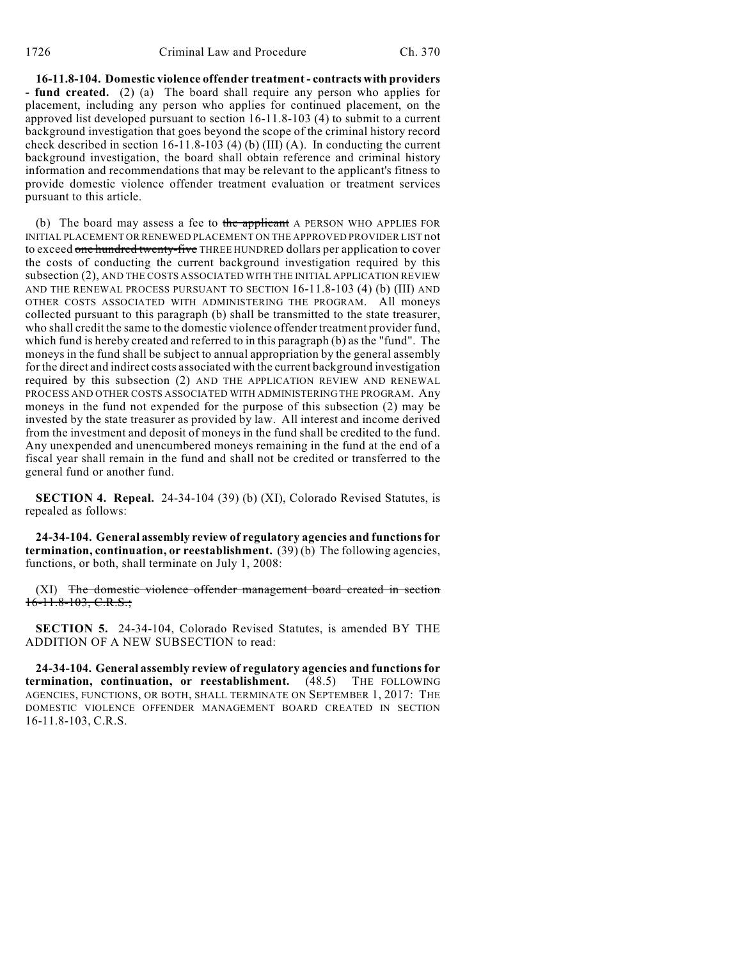**16-11.8-104. Domestic violence offender treatment - contracts with providers - fund created.** (2) (a) The board shall require any person who applies for placement, including any person who applies for continued placement, on the approved list developed pursuant to section 16-11.8-103 (4) to submit to a current background investigation that goes beyond the scope of the criminal history record check described in section 16-11.8-103 (4) (b) (III) (A). In conducting the current background investigation, the board shall obtain reference and criminal history information and recommendations that may be relevant to the applicant's fitness to provide domestic violence offender treatment evaluation or treatment services pursuant to this article.

(b) The board may assess a fee to the applicant A PERSON WHO APPLIES FOR INITIAL PLACEMENT OR RENEWED PLACEMENT ON THE APPROVED PROVIDER LIST not to exceed one hundred twenty-five THREE HUNDRED dollars per application to cover the costs of conducting the current background investigation required by this subsection (2), AND THE COSTS ASSOCIATED WITH THE INITIAL APPLICATION REVIEW AND THE RENEWAL PROCESS PURSUANT TO SECTION 16-11.8-103 (4) (b) (III) AND OTHER COSTS ASSOCIATED WITH ADMINISTERING THE PROGRAM. All moneys collected pursuant to this paragraph (b) shall be transmitted to the state treasurer, who shall credit the same to the domestic violence offender treatment provider fund, which fund is hereby created and referred to in this paragraph (b) as the "fund". The moneys in the fund shall be subject to annual appropriation by the general assembly for the direct and indirect costs associated with the current background investigation required by this subsection (2) AND THE APPLICATION REVIEW AND RENEWAL PROCESS AND OTHER COSTS ASSOCIATED WITH ADMINISTERING THE PROGRAM. Any moneys in the fund not expended for the purpose of this subsection (2) may be invested by the state treasurer as provided by law. All interest and income derived from the investment and deposit of moneys in the fund shall be credited to the fund. Any unexpended and unencumbered moneys remaining in the fund at the end of a fiscal year shall remain in the fund and shall not be credited or transferred to the general fund or another fund.

**SECTION 4. Repeal.** 24-34-104 (39) (b) (XI), Colorado Revised Statutes, is repealed as follows:

**24-34-104. General assembly review of regulatory agencies and functions for termination, continuation, or reestablishment.** (39) (b) The following agencies, functions, or both, shall terminate on July 1, 2008:

(XI) The domestic violence offender management board created in section 16-11.8-103, C.R.S.;

**SECTION 5.** 24-34-104, Colorado Revised Statutes, is amended BY THE ADDITION OF A NEW SUBSECTION to read:

**24-34-104. General assembly review of regulatory agencies and functions for termination, continuation, or reestablishment.** (48.5) THE FOLLOWING AGENCIES, FUNCTIONS, OR BOTH, SHALL TERMINATE ON SEPTEMBER 1, 2017: THE DOMESTIC VIOLENCE OFFENDER MANAGEMENT BOARD CREATED IN SECTION 16-11.8-103, C.R.S.